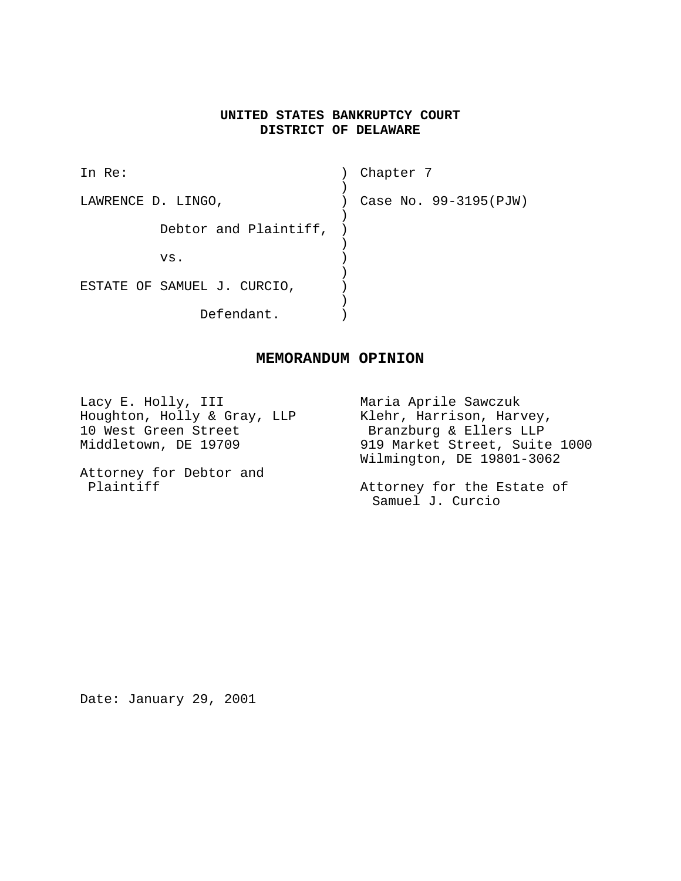# **UNITED STATES BANKRUPTCY COURT DISTRICT OF DELAWARE**

| In $Re:$                    | Chapter 7             |
|-----------------------------|-----------------------|
|                             |                       |
| LAWRENCE D. LINGO,          | Case No. 99-3195(PJW) |
|                             |                       |
| Debtor and Plaintiff,       |                       |
|                             |                       |
| VS.                         |                       |
|                             |                       |
| ESTATE OF SAMUEL J. CURCIO, |                       |
|                             |                       |
| Defendant.                  |                       |

### **MEMORANDUM OPINION**

Lacy E. Holly, III Maria Aprile Sawczuk<br>Houghton, Holly & Gray, LLP Klehr, Harrison, Harvey, Houghton, Holly & Gray, LLP 10 West Green Street Branzburg & Ellers LLP<br>Middletown, DE 19709 919 Market Street, Suite 919 Market Street, Suite 1000 Wilmington, DE 19801-3062 Attorney for Debtor and Plaintiff **Plaintiff Attorney** for the Estate of Samuel J. Curcio

Date: January 29, 2001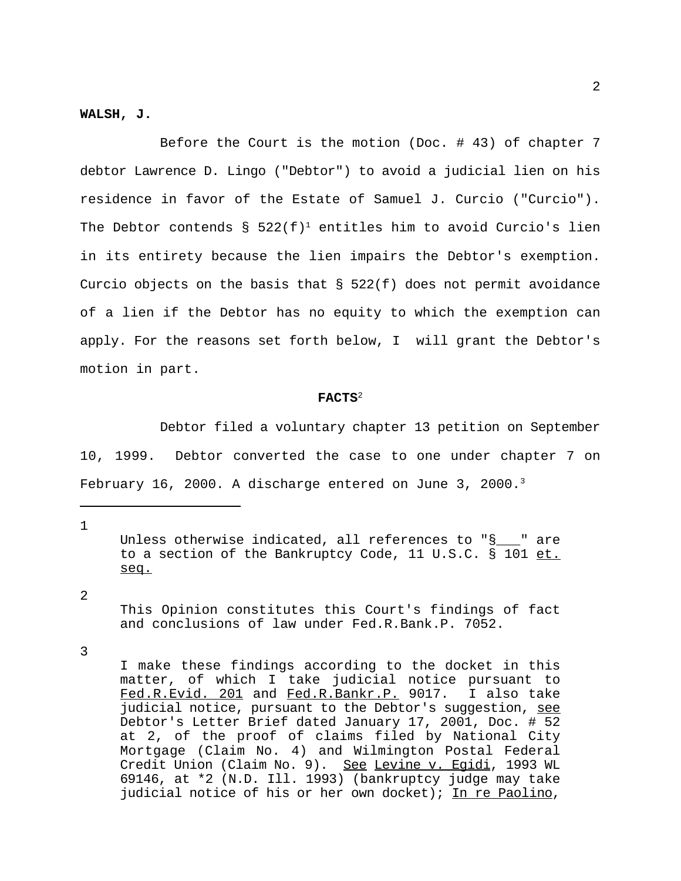#### **WALSH, J.**

Before the Court is the motion (Doc. # 43) of chapter 7 debtor Lawrence D. Lingo ("Debtor") to avoid a judicial lien on his residence in favor of the Estate of Samuel J. Curcio ("Curcio"). The Debtor contends §  $522(f)^1$  entitles him to avoid Curcio's lien in its entirety because the lien impairs the Debtor's exemption. Curcio objects on the basis that  $\S$  522(f) does not permit avoidance of a lien if the Debtor has no equity to which the exemption can apply. For the reasons set forth below, I will grant the Debtor's motion in part.

#### **FACTS**<sup>2</sup>

Debtor filed a voluntary chapter 13 petition on September 10, 1999. Debtor converted the case to one under chapter 7 on February 16, 2000. A discharge entered on June 3, 2000.<sup>3</sup>

1

Unless otherwise indicated, all references to "§\_\_\_" are to a section of the Bankruptcy Code, 11 U.S.C. § 101 et. seq.

2

This Opinion constitutes this Court's findings of fact and conclusions of law under Fed.R.Bank.P. 7052.

3

I make these findings according to the docket in this matter, of which I take judicial notice pursuant to Fed.R.Evid. 201 and Fed.R.Bankr.P. 9017. I also take judicial notice, pursuant to the Debtor's suggestion, see Debtor's Letter Brief dated January 17, 2001, Doc. # 52 at 2, of the proof of claims filed by National City Mortgage (Claim No. 4) and Wilmington Postal Federal Credit Union (Claim No. 9). See Levine v. Egidi, 1993 WL 69146, at \*2 (N.D. Ill. 1993) (bankruptcy judge may take judicial notice of his or her own docket); In re Paolino,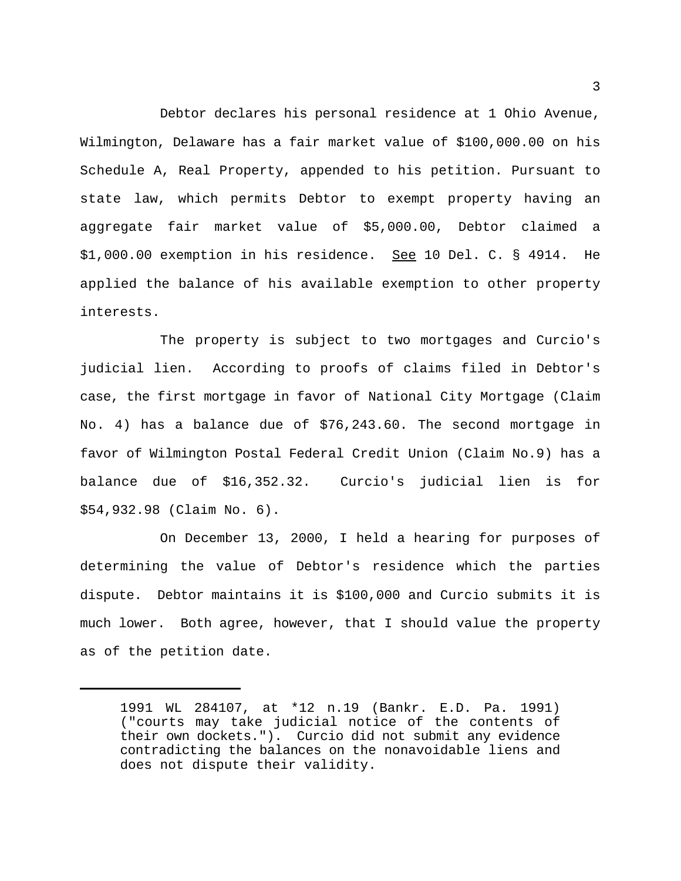Debtor declares his personal residence at 1 Ohio Avenue, Wilmington, Delaware has a fair market value of \$100,000.00 on his Schedule A, Real Property, appended to his petition. Pursuant to state law, which permits Debtor to exempt property having an aggregate fair market value of \$5,000.00, Debtor claimed a \$1,000.00 exemption in his residence. See 10 Del. C. § 4914. He applied the balance of his available exemption to other property interests.

The property is subject to two mortgages and Curcio's judicial lien. According to proofs of claims filed in Debtor's case, the first mortgage in favor of National City Mortgage (Claim No. 4) has a balance due of \$76,243.60. The second mortgage in favor of Wilmington Postal Federal Credit Union (Claim No.9) has a balance due of \$16,352.32. Curcio's judicial lien is for \$54,932.98 (Claim No. 6).

On December 13, 2000, I held a hearing for purposes of determining the value of Debtor's residence which the parties dispute. Debtor maintains it is \$100,000 and Curcio submits it is much lower. Both agree, however, that I should value the property as of the petition date.

<sup>1991</sup> WL 284107, at \*12 n.19 (Bankr. E.D. Pa. 1991) ("courts may take judicial notice of the contents of their own dockets."). Curcio did not submit any evidence contradicting the balances on the nonavoidable liens and does not dispute their validity.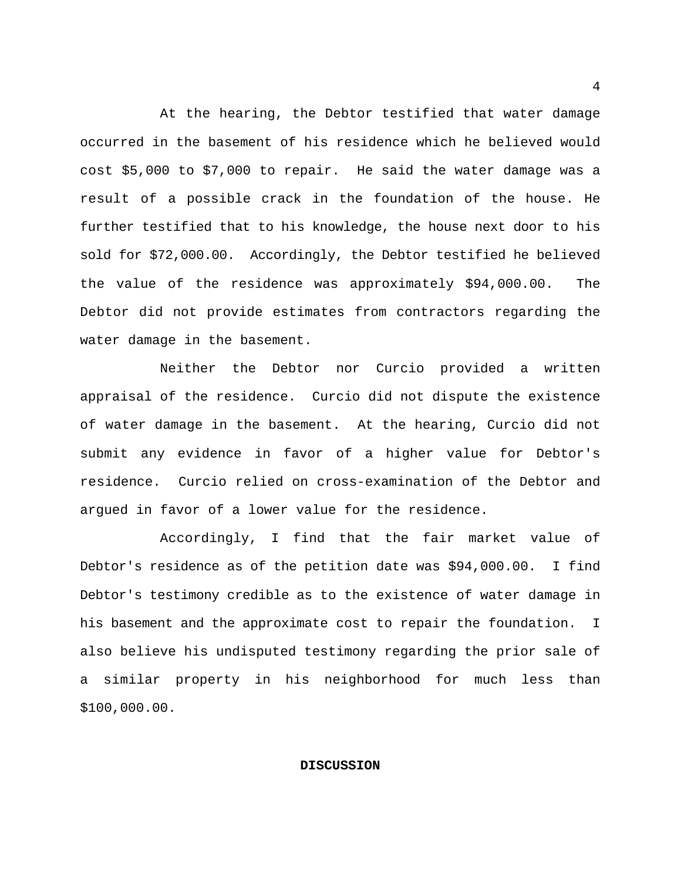At the hearing, the Debtor testified that water damage occurred in the basement of his residence which he believed would cost \$5,000 to \$7,000 to repair. He said the water damage was a result of a possible crack in the foundation of the house. He further testified that to his knowledge, the house next door to his sold for \$72,000.00. Accordingly, the Debtor testified he believed the value of the residence was approximately \$94,000.00. The Debtor did not provide estimates from contractors regarding the water damage in the basement.

Neither the Debtor nor Curcio provided a written appraisal of the residence. Curcio did not dispute the existence of water damage in the basement. At the hearing, Curcio did not submit any evidence in favor of a higher value for Debtor's residence. Curcio relied on cross-examination of the Debtor and argued in favor of a lower value for the residence.

Accordingly, I find that the fair market value of Debtor's residence as of the petition date was \$94,000.00. I find Debtor's testimony credible as to the existence of water damage in his basement and the approximate cost to repair the foundation. I also believe his undisputed testimony regarding the prior sale of a similar property in his neighborhood for much less than \$100,000.00.

### **DISCUSSION**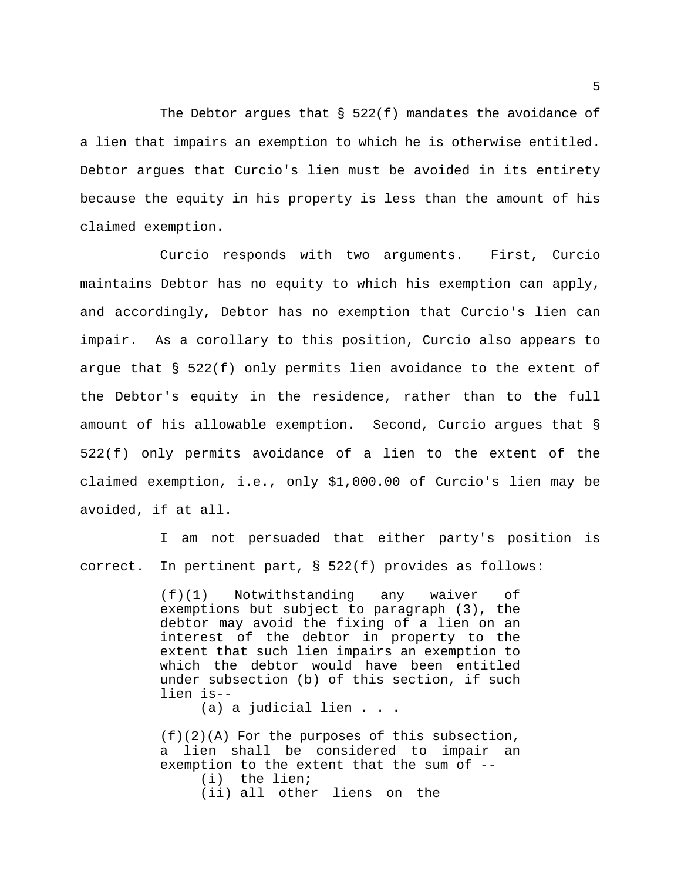The Debtor argues that  $\S$  522(f) mandates the avoidance of a lien that impairs an exemption to which he is otherwise entitled. Debtor argues that Curcio's lien must be avoided in its entirety because the equity in his property is less than the amount of his claimed exemption.

Curcio responds with two arguments. First, Curcio maintains Debtor has no equity to which his exemption can apply, and accordingly, Debtor has no exemption that Curcio's lien can impair. As a corollary to this position, Curcio also appears to argue that § 522(f) only permits lien avoidance to the extent of the Debtor's equity in the residence, rather than to the full amount of his allowable exemption. Second, Curcio argues that § 522(f) only permits avoidance of a lien to the extent of the claimed exemption, i.e., only \$1,000.00 of Curcio's lien may be avoided, if at all.

I am not persuaded that either party's position is correct. In pertinent part, § 522(f) provides as follows:

> (f)(1) Notwithstanding any waiver of exemptions but subject to paragraph (3), the debtor may avoid the fixing of a lien on an interest of the debtor in property to the extent that such lien impairs an exemption to which the debtor would have been entitled under subsection (b) of this section, if such lien is--

> > (a) a judicial lien . . .

(f)(2)(A) For the purposes of this subsection, a lien shall be considered to impair an exemption to the extent that the sum of -- (i) the lien; (ii) all other liens on the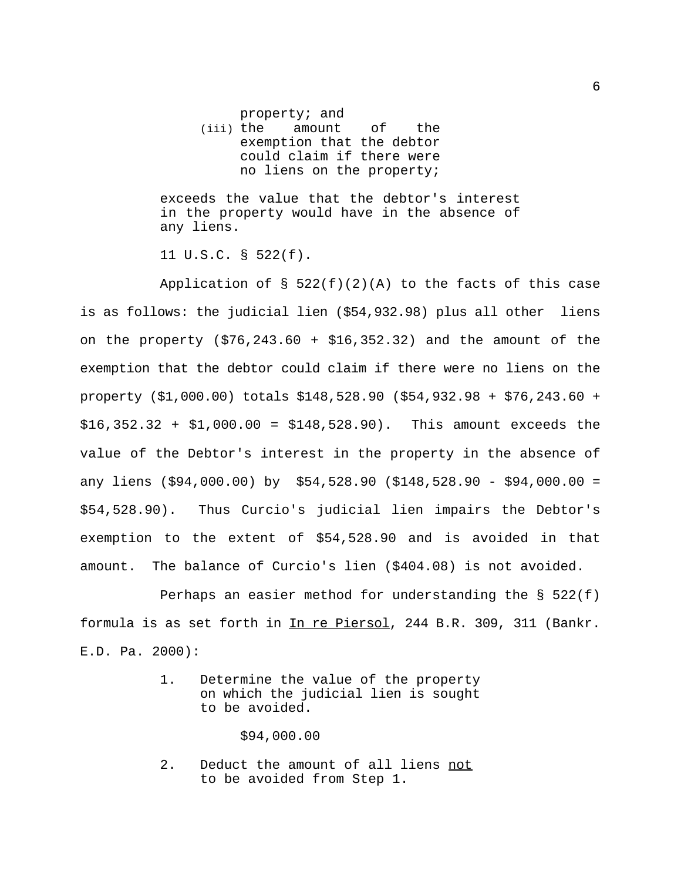property; and (iii) the amount of the exemption that the debtor could claim if there were

exceeds the value that the debtor's interest in the property would have in the absence of any liens.

no liens on the property;

11 U.S.C. § 522(f).

Application of  $\S$  522(f)(2)(A) to the facts of this case is as follows: the judicial lien (\$54,932.98) plus all other liens on the property  $(576, 243.60 + 516, 352.32)$  and the amount of the exemption that the debtor could claim if there were no liens on the property (\$1,000.00) totals \$148,528.90 (\$54,932.98 + \$76,243.60 + \$16,352.32 + \$1,000.00 = \$148,528.90). This amount exceeds the value of the Debtor's interest in the property in the absence of any liens (\$94,000.00) by \$54,528.90 (\$148,528.90 - \$94,000.00 = \$54,528.90). Thus Curcio's judicial lien impairs the Debtor's exemption to the extent of \$54,528.90 and is avoided in that amount. The balance of Curcio's lien (\$404.08) is not avoided.

Perhaps an easier method for understanding the  $\S$  522(f) formula is as set forth in In re Piersol, 244 B.R. 309, 311 (Bankr. E.D. Pa. 2000):

> 1. Determine the value of the property on which the judicial lien is sought to be avoided.

> > \$94,000.00

2. Deduct the amount of all liens not to be avoided from Step 1.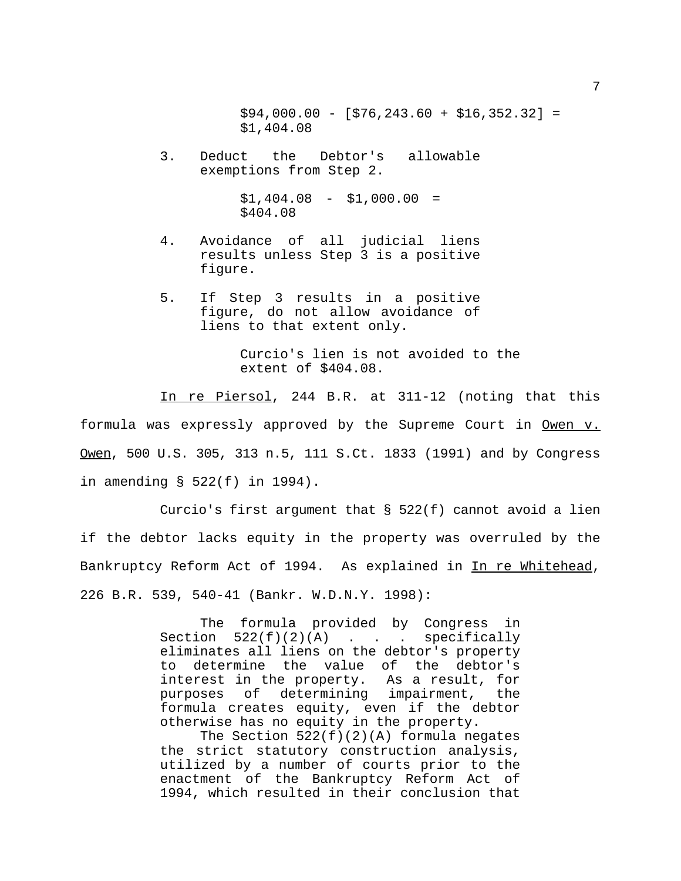$$94,000.00 - [ $76,243.60 + $16,352.32] =$ \$1,404.08

3. Deduct the Debtor's allowable exemptions from Step 2.

> $$1,404.08 - $1,000.00 =$ \$404.08

- 4. Avoidance of all judicial liens results unless Step 3 is a positive figure.
- 5. If Step 3 results in a positive figure, do not allow avoidance of liens to that extent only.

Curcio's lien is not avoided to the extent of \$404.08.

In re Piersol, 244 B.R. at 311-12 (noting that this formula was expressly approved by the Supreme Court in Owen v. Owen, 500 U.S. 305, 313 n.5, 111 S.Ct. 1833 (1991) and by Congress in amending § 522(f) in 1994).

Curcio's first argument that § 522(f) cannot avoid a lien if the debtor lacks equity in the property was overruled by the Bankruptcy Reform Act of 1994. As explained in In re Whitehead, 226 B.R. 539, 540-41 (Bankr. W.D.N.Y. 1998):

> The formula provided by Congress in Section  $522(f)(2)(A)$  . . . specifically eliminates all liens on the debtor's property to determine the value of the debtor's interest in the property. As a result, for purposes of determining impairment, the formula creates equity, even if the debtor otherwise has no equity in the property.

> The Section  $522(f)(2)(A)$  formula negates the strict statutory construction analysis, utilized by a number of courts prior to the enactment of the Bankruptcy Reform Act of 1994, which resulted in their conclusion that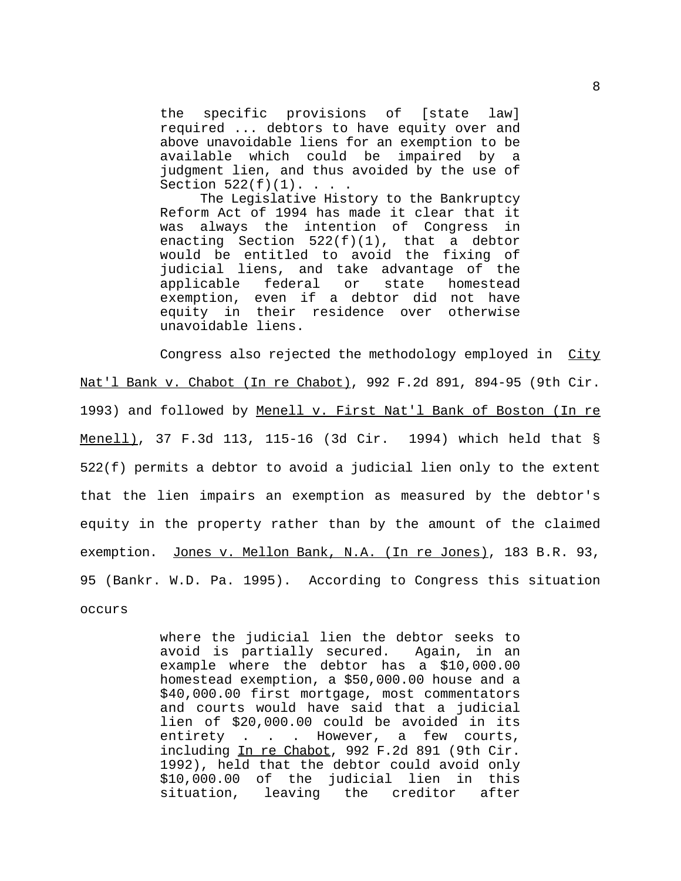the specific provisions of [state law] required ... debtors to have equity over and above unavoidable liens for an exemption to be available which could be impaired by a judgment lien, and thus avoided by the use of Section  $522(f)(1)$ . . . .

The Legislative History to the Bankruptcy Reform Act of 1994 has made it clear that it was always the intention of Congress in enacting Section 522(f)(1), that a debtor would be entitled to avoid the fixing of judicial liens, and take advantage of the applicable federal or state homestead exemption, even if a debtor did not have equity in their residence over otherwise unavoidable liens.

Congress also rejected the methodology employed in City Nat'l Bank v. Chabot (In re Chabot), 992 F.2d 891, 894-95 (9th Cir. 1993) and followed by Menell v. First Nat'l Bank of Boston (In re Menell), 37 F.3d 113, 115-16 (3d Cir. 1994) which held that § 522(f) permits a debtor to avoid a judicial lien only to the extent that the lien impairs an exemption as measured by the debtor's equity in the property rather than by the amount of the claimed exemption. Jones v. Mellon Bank, N.A. (In re Jones), 183 B.R. 93, 95 (Bankr. W.D. Pa. 1995). According to Congress this situation occurs

> where the judicial lien the debtor seeks to avoid is partially secured. Again, in an example where the debtor has a \$10,000.00 homestead exemption, a \$50,000.00 house and a \$40,000.00 first mortgage, most commentators and courts would have said that a judicial lien of \$20,000.00 could be avoided in its entirety . . . However, a few courts, including In re Chabot, 992 F.2d 891 (9th Cir. 1992), held that the debtor could avoid only \$10,000.00 of the judicial lien in this situation, leaving the creditor after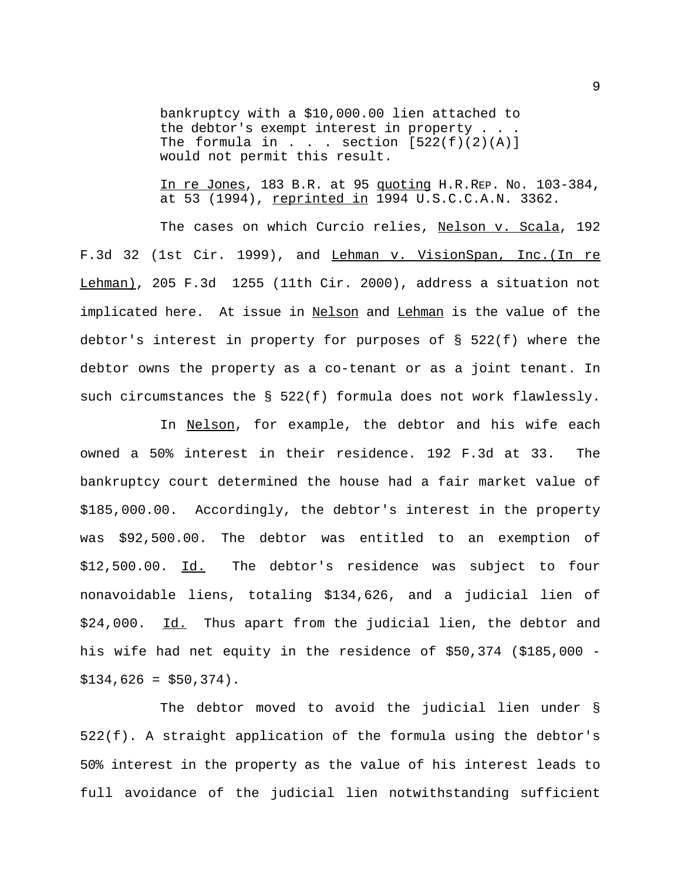bankruptcy with a \$10,000.00 lien attached to the debtor's exempt interest in property . . . The formula in . . . section  $[522(f)(2)(A)]$ would not permit this result.

In re Jones, 183 B.R. at 95 quoting H.R.REP. NO. 103-384, at 53 (1994), reprinted in 1994 U.S.C.C.A.N. 3362.

The cases on which Curcio relies, Nelson v. Scala, 192 F.3d 32 (1st Cir. 1999), and Lehman v. VisionSpan, Inc. (In re Lehman), 205 F.3d 1255 (11th Cir. 2000), address a situation not implicated here. At issue in Nelson and Lehman is the value of the debtor's interest in property for purposes of § 522(f) where the debtor owns the property as a co-tenant or as a joint tenant. In such circumstances the § 522(f) formula does not work flawlessly.

In Nelson, for example, the debtor and his wife each owned a 50% interest in their residence. 192 F.3d at 33. The bankruptcy court determined the house had a fair market value of \$185,000.00. Accordingly, the debtor's interest in the property was \$92,500.00. The debtor was entitled to an exemption of \$12,500.00. Id. The debtor's residence was subject to four nonavoidable liens, totaling \$134,626, and a judicial lien of \$24,000. Id. Thus apart from the judicial lien, the debtor and his wife had net equity in the residence of \$50,374 (\$185,000 -  $$134,626 = $50,374$ .

The debtor moved to avoid the judicial lien under § 522(f). A straight application of the formula using the debtor's 50% interest in the property as the value of his interest leads to full avoidance of the judicial lien notwithstanding sufficient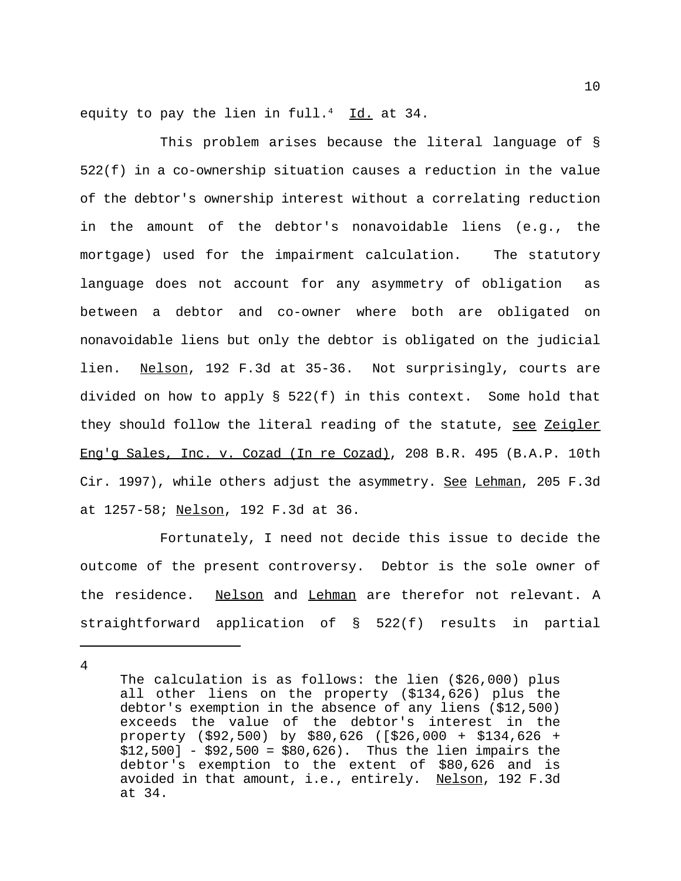equity to pay the lien in full.<sup>4</sup> Id. at 34.

This problem arises because the literal language of § 522(f) in a co-ownership situation causes a reduction in the value of the debtor's ownership interest without a correlating reduction in the amount of the debtor's nonavoidable liens (e.g., the mortgage) used for the impairment calculation. The statutory language does not account for any asymmetry of obligation as between a debtor and co-owner where both are obligated on nonavoidable liens but only the debtor is obligated on the judicial lien. Nelson, 192 F.3d at 35-36. Not surprisingly, courts are divided on how to apply § 522(f) in this context. Some hold that they should follow the literal reading of the statute, see Zeigler Eng'g Sales, Inc. v. Cozad (In re Cozad), 208 B.R. 495 (B.A.P. 10th Cir. 1997), while others adjust the asymmetry. See Lehman, 205 F.3d at 1257-58; Nelson, 192 F.3d at 36.

Fortunately, I need not decide this issue to decide the outcome of the present controversy. Debtor is the sole owner of the residence. Nelson and Lehman are therefor not relevant. A straightforward application of § 522(f) results in partial

4

The calculation is as follows: the lien (\$26,000) plus all other liens on the property (\$134,626) plus the debtor's exemption in the absence of any liens (\$12,500) exceeds the value of the debtor's interest in the property (\$92,500) by \$80,626 ([\$26,000 + \$134,626 + \$12,500] - \$92,500 = \$80,626). Thus the lien impairs the debtor's exemption to the extent of \$80,626 and is avoided in that amount, i.e., entirely. Nelson, 192 F.3d at 34.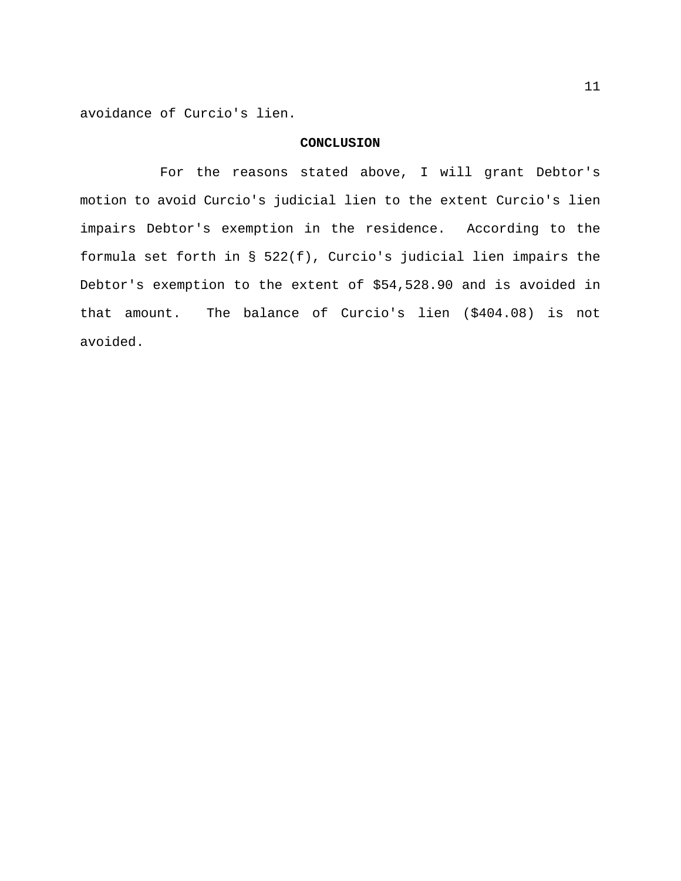avoidance of Curcio's lien.

## **CONCLUSION**

For the reasons stated above, I will grant Debtor's motion to avoid Curcio's judicial lien to the extent Curcio's lien impairs Debtor's exemption in the residence. According to the formula set forth in § 522(f), Curcio's judicial lien impairs the Debtor's exemption to the extent of \$54,528.90 and is avoided in that amount. The balance of Curcio's lien (\$404.08) is not avoided.